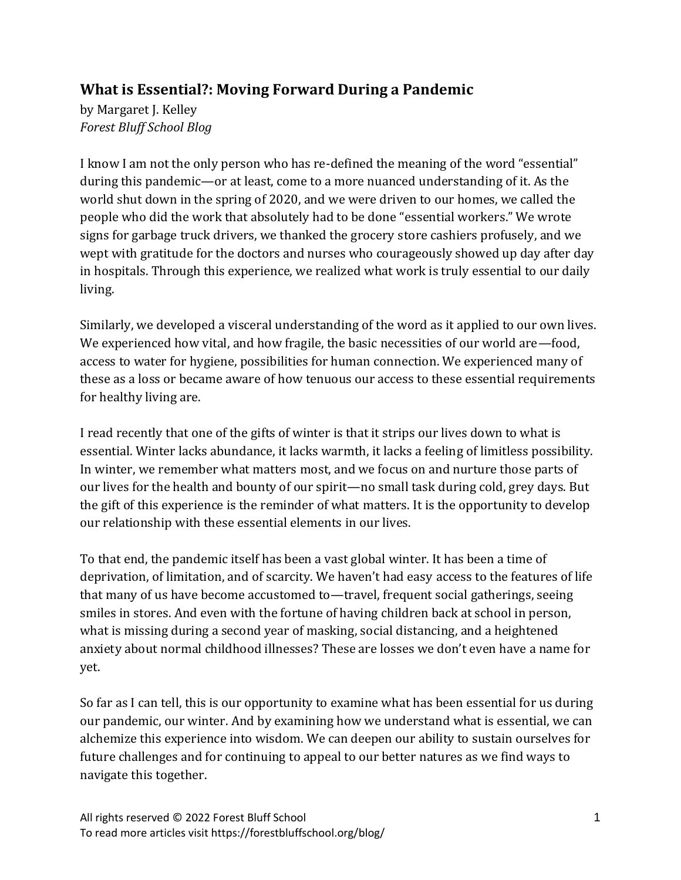# **What is Essential?: Moving Forward During a Pandemic**

by Margaret J. Kelley *Forest Bluff School Blog*

I know I am not the only person who has re-defined the meaning of the word "essential" during this pandemic—or at least, come to a more nuanced understanding of it. As the world shut down in the spring of 2020, and we were driven to our homes, we called the people who did the work that absolutely had to be done "essential workers." We wrote signs for garbage truck drivers, we thanked the grocery store cashiers profusely, and we wept with gratitude for the doctors and nurses who courageously showed up day after day in hospitals. Through this experience, we realized what work is truly essential to our daily living.

Similarly, we developed a visceral understanding of the word as it applied to our own lives. We experienced how vital, and how fragile, the basic necessities of our world are -food, access to water for hygiene, possibilities for human connection. We experienced many of these as a loss or became aware of how tenuous our access to these essential requirements for healthy living are.

I read recently that one of the gifts of winter is that it strips our lives down to what is essential. Winter lacks abundance, it lacks warmth, it lacks a feeling of limitless possibility. In winter, we remember what matters most, and we focus on and nurture those parts of our lives for the health and bounty of our spirit—no small task during cold, grey days. But the gift of this experience is the reminder of what matters. It is the opportunity to develop our relationship with these essential elements in our lives.

To that end, the pandemic itself has been a vast global winter. It has been a time of deprivation, of limitation, and of scarcity. We haven't had easy access to the features of life that many of us have become accustomed to—travel, frequent social gatherings, seeing smiles in stores. And even with the fortune of having children back at school in person, what is missing during a second year of masking, social distancing, and a heightened anxiety about normal childhood illnesses? These are losses we don't even have a name for yet.

So far as I can tell, this is our opportunity to examine what has been essential for us during our pandemic, our winter. And by examining how we understand what is essential, we can alchemize this experience into wisdom. We can deepen our ability to sustain ourselves for future challenges and for continuing to appeal to our better natures as we find ways to navigate this together.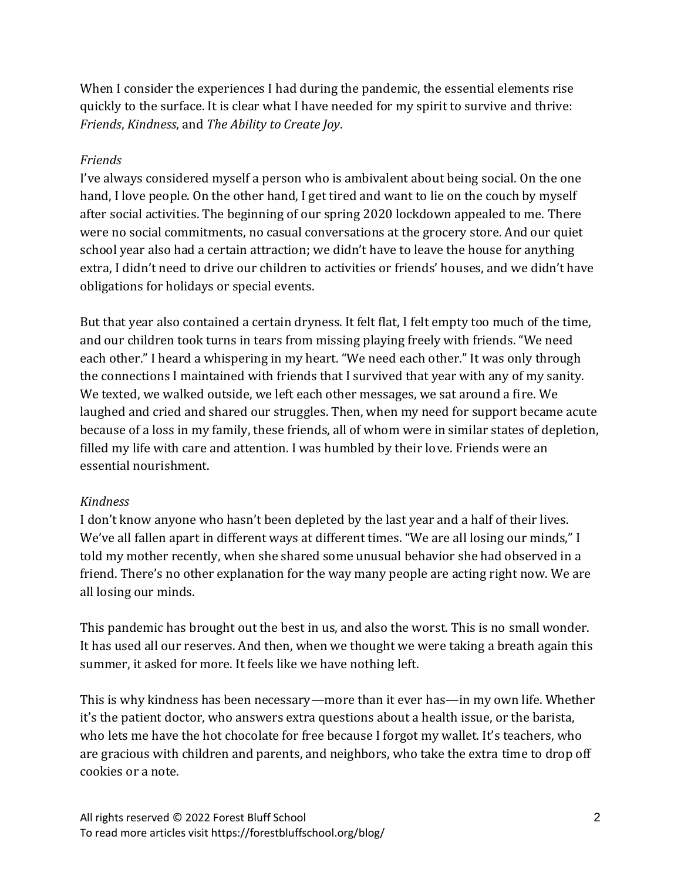When I consider the experiences I had during the pandemic, the essential elements rise quickly to the surface. It is clear what I have needed for my spirit to survive and thrive: *Friends*, *Kindness*, and *The Ability to Create Joy*.

#### *Friends*

I've always considered myself a person who is ambivalent about being social. On the one hand, I love people. On the other hand, I get tired and want to lie on the couch by myself after social activities. The beginning of our spring 2020 lockdown appealed to me. There were no social commitments, no casual conversations at the grocery store. And our quiet school year also had a certain attraction; we didn't have to leave the house for anything extra, I didn't need to drive our children to activities or friends' houses, and we didn't have obligations for holidays or special events.

But that year also contained a certain dryness. It felt flat, I felt empty too much of the time, and our children took turns in tears from missing playing freely with friends. "We need each other." I heard a whispering in my heart. "We need each other." It was only through the connections I maintained with friends that I survived that year with any of my sanity. We texted, we walked outside, we left each other messages, we sat around a fire. We laughed and cried and shared our struggles. Then, when my need for support became acute because of a loss in my family, these friends, all of whom were in similar states of depletion, filled my life with care and attention. I was humbled by their love. Friends were an essential nourishment.

#### *Kindness*

I don't know anyone who hasn't been depleted by the last year and a half of their lives. We've all fallen apart in different ways at different times. "We are all losing our minds," I told my mother recently, when she shared some unusual behavior she had observed in a friend. There's no other explanation for the way many people are acting right now. We are all losing our minds.

This pandemic has brought out the best in us, and also the worst. This is no small wonder. It has used all our reserves. And then, when we thought we were taking a breath again this summer, it asked for more. It feels like we have nothing left.

This is why kindness has been necessary—more than it ever has—in my own life. Whether it's the patient doctor, who answers extra questions about a health issue, or the barista, who lets me have the hot chocolate for free because I forgot my wallet. It's teachers, who are gracious with children and parents, and neighbors, who take the extra time to drop off cookies or a note.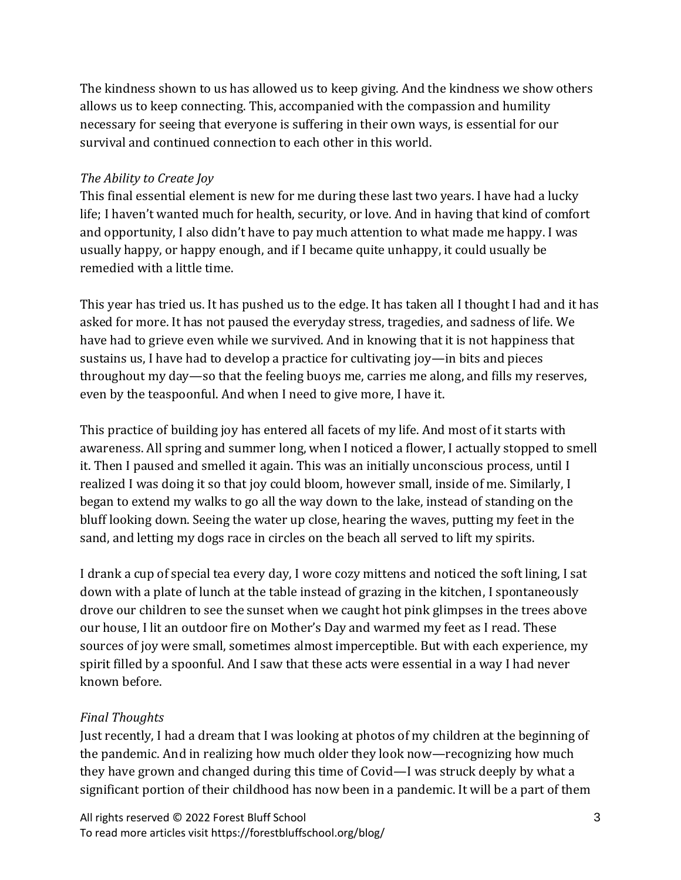The kindness shown to us has allowed us to keep giving. And the kindness we show others allows us to keep connecting. This, accompanied with the compassion and humility necessary for seeing that everyone is suffering in their own ways, is essential for our survival and continued connection to each other in this world.

### *The Ability to Create Joy*

This final essential element is new for me during these last two years. I have had a lucky life; I haven't wanted much for health, security, or love. And in having that kind of comfort and opportunity, I also didn't have to pay much attention to what made me happy. I was usually happy, or happy enough, and if I became quite unhappy, it could usually be remedied with a little time.

This year has tried us. It has pushed us to the edge. It has taken all I thought I had and it has asked for more. It has not paused the everyday stress, tragedies, and sadness of life. We have had to grieve even while we survived. And in knowing that it is not happiness that sustains us, I have had to develop a practice for cultivating joy—in bits and pieces throughout my day—so that the feeling buoys me, carries me along, and fills my reserves, even by the teaspoonful. And when I need to give more, I have it.

This practice of building joy has entered all facets of my life. And most of it starts with awareness. All spring and summer long, when I noticed a flower, I actually stopped to smell it. Then I paused and smelled it again. This was an initially unconscious process, until I realized I was doing it so that joy could bloom, however small, inside of me. Similarly, I began to extend my walks to go all the way down to the lake, instead of standing on the bluff looking down. Seeing the water up close, hearing the waves, putting my feet in the sand, and letting my dogs race in circles on the beach all served to lift my spirits.

I drank a cup of special tea every day, I wore cozy mittens and noticed the soft lining, I sat down with a plate of lunch at the table instead of grazing in the kitchen, I spontaneously drove our children to see the sunset when we caught hot pink glimpses in the trees above our house, I lit an outdoor fire on Mother's Day and warmed my feet as I read. These sources of joy were small, sometimes almost imperceptible. But with each experience, my spirit filled by a spoonful. And I saw that these acts were essential in a way I had never known before.

## *Final Thoughts*

Just recently, I had a dream that I was looking at photos of my children at the beginning of the pandemic. And in realizing how much older they look now—recognizing how much they have grown and changed during this time of Covid—I was struck deeply by what a significant portion of their childhood has now been in a pandemic. It will be a part of them